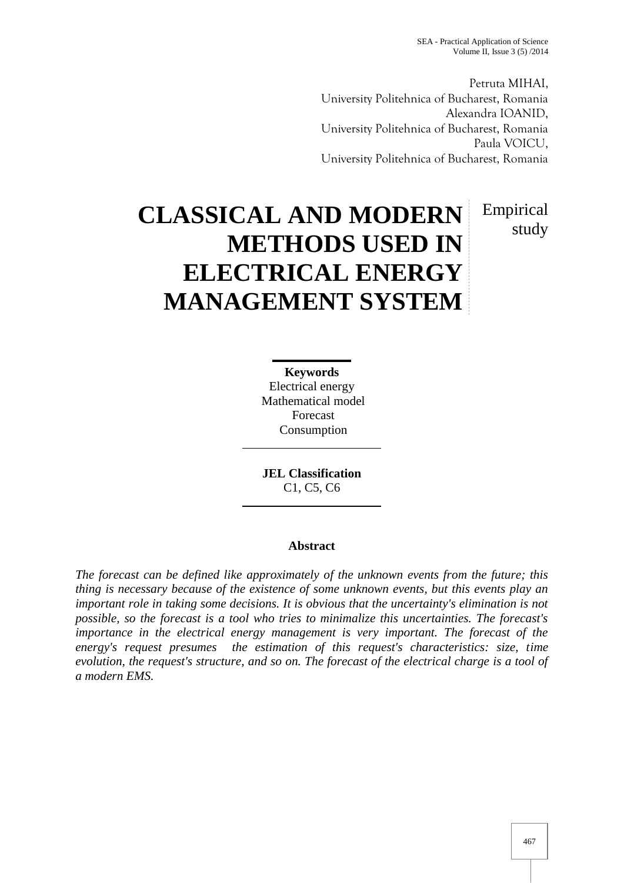study

Petruta MIHAI, University Politehnica of Bucharest, Romania Alexandra IOANID, University Politehnica of Bucharest, Romania Paula VOICU, University Politehnica of Bucharest, Romania

# **CLASSICAL AND MODERN METHODS USED IN ELECTRICAL ENERGY MANAGEMENT SYSTEM** Empirical

**Keywords** Electrical energy Mathematical model Forecast Consumption

**JEL Classification** C1, C5, C6

## **Abstract**

*The forecast can be defined like approximately of the unknown events from the future; this thing is necessary because of the existence of some unknown events, but this events play an important role in taking some decisions. It is obvious that the uncertainty's elimination is not possible, so the forecast is a tool who tries to minimalize this uncertainties. The forecast's importance in the electrical energy management is very important. The forecast of the energy's request presumes the estimation of this request's characteristics: size, time evolution, the request's structure, and so on. The forecast of the electrical charge is a tool of a modern EMS.*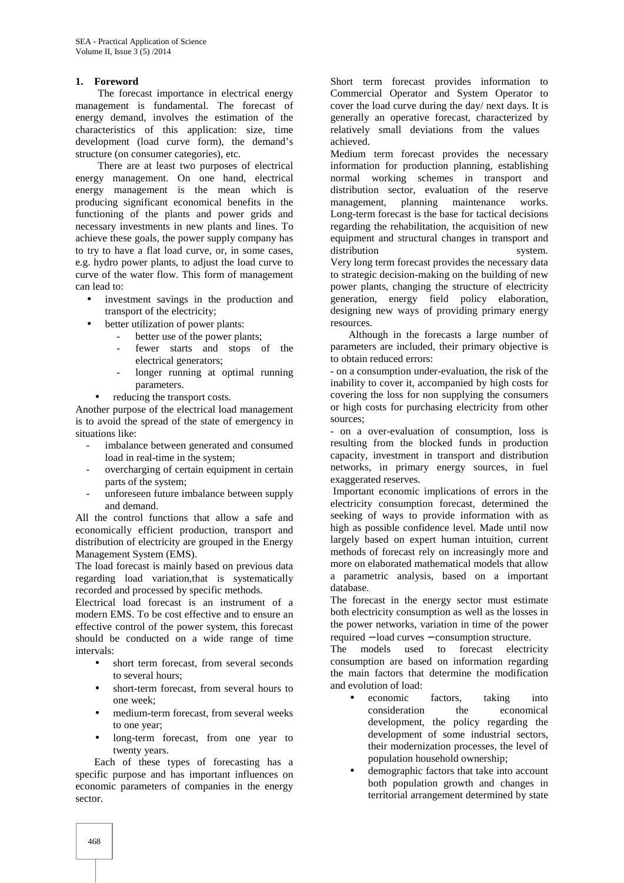#### **1. Foreword**

The forecast importance in electrical energy management is fundamental. The forecast of energy demand, involves the estimation of the characteristics of this application: size, time development (load curve form), the demand's structure (on consumer categories), etc.

There are at least two purposes of electrical energy management. On one hand, electrical energy management is the mean which is producing significant economical benefits in the functioning of the plants and power grids and necessary investments in new plants and lines. To achieve these goals, the power supply company has to try to have a flat load curve, or, in some cases, e.g. hydro power plants, to adjust the load curve to curve of the water flow. This form of management can lead to:

- investment savings in the production and transport of the electricity;
	- better utilization of power plants:
		- better use of the power plants;
		- fewer starts and stops of the electrical generators;
		- longer running at optimal running parameters.
	- reducing the transport costs.

Another purpose of the electrical load management is to avoid the spread of the state of emergency in situations like:

- imbalance between generated and consumed load in real-time in the system;
- overcharging of certain equipment in certain parts of the system;
- unforeseen future imbalance between supply and demand.

All the control functions that allow a safe and economically efficient production, transport and distribution of electricity are grouped in the Energy Management System (EMS).

The load forecast is mainly based on previous data regarding load variation,that is systematically recorded and processed by specific methods.

Electrical load forecast is an instrument of a modern EMS. To be cost effective and to ensure an effective control of the power system, this forecast should be conducted on a wide range of time intervals:

- short term forecast, from several seconds to several hours;
- short-term forecast, from several hours to one week;
- medium-term forecast, from several weeks to one year;
- long-term forecast, from one year to twenty years.

Each of these types of forecasting has a specific purpose and has important influences on economic parameters of companies in the energy sector.

Short term forecast provides information to Commercial Operator and System Operator to cover the load curve during the day/ next days. It is generally an operative forecast, characterized by relatively small deviations from the values achieved.

Medium term forecast provides the necessary information for production planning, establishing normal working schemes in transport and distribution sector, evaluation of the reserve management, planning maintenance works. Long-term forecast is the base for tactical decisions regarding the rehabilitation, the acquisition of new equipment and structural changes in transport and distribution system. Very long term forecast provides the necessary data to strategic decision-making on the building of new power plants, changing the structure of electricity generation, energy field policy elaboration, designing new ways of providing primary energy resources.

Although in the forecasts a large number of parameters are included, their primary objective is to obtain reduced errors:

- on a consumption under-evaluation, the risk of the inability to cover it, accompanied by high costs for covering the loss for non supplying the consumers or high costs for purchasing electricity from other sources;

- on a over-evaluation of consumption, loss is resulting from the blocked funds in production capacity, investment in transport and distribution networks, in primary energy sources, in fuel exaggerated reserves.

Important economic implications of errors in the electricity consumption forecast, determined the seeking of ways to provide information with as high as possible confidence level. Made until now largely based on expert human intuition, current methods of forecast rely on increasingly more and more on elaborated mathematical models that allow a parametric analysis, based on a important database.

The forecast in the energy sector must estimate both electricity consumption as well as the losses in the power networks, variation in time of the power required  $-$  load curves  $-$  consumption structure.

The models used to forecast electricity consumption are based on information regarding the main factors that determine the modification and evolution of load:

- economic factors, taking into consideration the economical development, the policy regarding the development of some industrial sectors, their modernization processes, the level of population household ownership;
- demographic factors that take into account both population growth and changes in territorial arrangement determined by state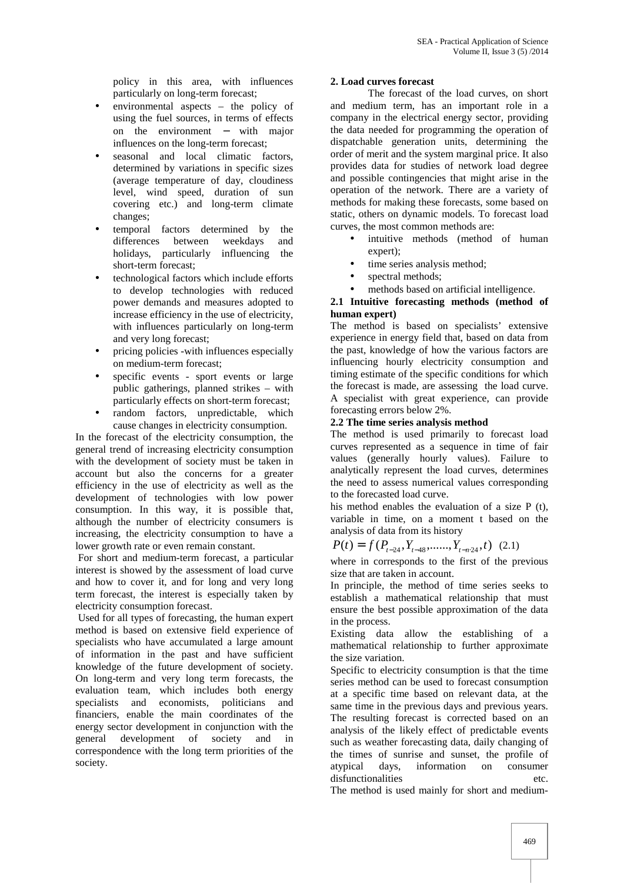policy in this area, with influences particularly on long-term forecast;

- environmental aspects the policy of using the fuel sources, in terms of effects on the environment  $-$  with major influences on the long-term forecast;
- seasonal and local climatic factors, determined by variations in specific sizes (average temperature of day, cloudiness level, wind speed, duration of sun covering etc.) and long-term climate changes;
- temporal factors determined by the differences between weekdays and holidays, particularly influencing the short-term forecast;
- technological factors which include efforts to develop technologies with reduced power demands and measures adopted to increase efficiency in the use of electricity, with influences particularly on long-term and very long forecast;
- pricing policies -with influences especially on medium-term forecast;
- specific events sport events or large public gatherings, planned strikes – with particularly effects on short-term forecast;
- random factors, unpredictable, which cause changes in electricity consumption.

In the forecast of the electricity consumption, the general trend of increasing electricity consumption with the development of society must be taken in account but also the concerns for a greater efficiency in the use of electricity as well as the development of technologies with low power consumption. In this way, it is possible that, although the number of electricity consumers is increasing, the electricity consumption to have a lower growth rate or even remain constant.

For short and medium-term forecast, a particular interest is showed by the assessment of load curve and how to cover it, and for long and very long term forecast, the interest is especially taken by electricity consumption forecast.

Used for all types of forecasting, the human expert method is based on extensive field experience of specialists who have accumulated a large amount of information in the past and have sufficient knowledge of the future development of society. On long-term and very long term forecasts, the evaluation team, which includes both energy specialists and economists, politicians and financiers, enable the main coordinates of the energy sector development in conjunction with the general development of society and in correspondence with the long term priorities of the society.

## **2. Load curves forecast**

The forecast of the load curves, on short and medium term, has an important role in a company in the electrical energy sector, providing the data needed for programming the operation of dispatchable generation units, determining the order of merit and the system marginal price. It also provides data for studies of network load degree and possible contingencies that might arise in the operation of the network. There are a variety of methods for making these forecasts, some based on static, others on dynamic models. To forecast load curves, the most common methods are:

- intuitive methods (method of human expert);
- time series analysis method;
- spectral methods;
- methods based on artificial intelligence.

## **2.1 Intuitive forecasting methods (method of human expert)**

The method is based on specialists' extensive experience in energy field that, based on data from the past, knowledge of how the various factors are influencing hourly electricity consumption and timing estimate of the specific conditions for which the forecast is made, are assessing the load curve. A specialist with great experience, can provide forecasting errors below 2%.

### **2.2 The time series analysis method**

The method is used primarily to forecast load curves represented as a sequence in time of fair values (generally hourly values). Failure to analytically represent the load curves, determines the need to assess numerical values corresponding to the forecasted load curve.

his method enables the evaluation of a size P (t), variable in time, on a moment t based on the analysis of data from its history

$$
P(t) = f(P_{t-24}, Y_{t-48}, \dots, Y_{t-n \cdot 24}, t) \tag{2.1}
$$

where in corresponds to the first of the previous size that are taken in account.

In principle, the method of time series seeks to establish a mathematical relationship that must ensure the best possible approximation of the data in the process.

Existing data allow the establishing of a mathematical relationship to further approximate the size variation.

Specific to electricity consumption is that the time series method can be used to forecast consumption at a specific time based on relevant data, at the same time in the previous days and previous years. The resulting forecast is corrected based on an analysis of the likely effect of predictable events such as weather forecasting data, daily changing of the times of sunrise and sunset, the profile of atypical days, information on consumer atypical days, information on disfunctionalities etc.

The method is used mainly for short and medium-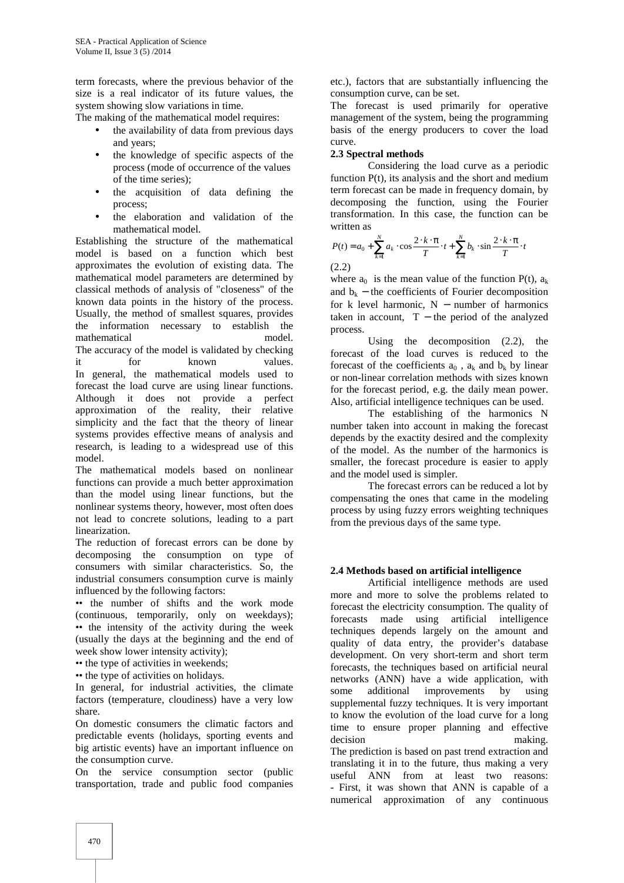term forecasts, where the previous behavior of the size is a real indicator of its future values, the system showing slow variations in time.

The making of the mathematical model requires:

- the availability of data from previous days and years;
- the knowledge of specific aspects of the process (mode of occurrence of the values of the time series);
- the acquisition of data defining the process;
- the elaboration and validation of the mathematical model.

Establishing the structure of the mathematical model is based on a function which best approximates the evolution of existing data. The mathematical model parameters are determined by classical methods of analysis of "closeness" of the known data points in the history of the process. Usually, the method of smallest squares, provides the information necessary to establish the mathematical model. The accuracy of the model is validated by checking it for known values. In general, the mathematical models used to forecast the load curve are using linear functions. Although it does not provide a perfect approximation of the reality, their relative simplicity and the fact that the theory of linear systems provides effective means of analysis and research, is leading to a widespread use of this model.

The mathematical models based on nonlinear functions can provide a much better approximation than the model using linear functions, but the nonlinear systems theory, however, most often does not lead to concrete solutions, leading to a part linearization.

The reduction of forecast errors can be done by decomposing the consumption on type of consumers with similar characteristics. So, the industrial consumers consumption curve is mainly influenced by the following factors:

•• the number of shifts and the work mode (continuous, temporarily, only on weekdays); •• the intensity of the activity during the week (usually the days at the beginning and the end of week show lower intensity activity);

•• the type of activities in weekends;

•• the type of activities on holidays.

In general, for industrial activities, the climate In general, for industrial activities, the climate<br>factors (temperature, cloudiness) have a very low sumpleshare.

On domestic consumers the climatic factors and predictable events (holidays, sporting events and big artistic events) have an important influence on the consumption curve.

On the service consumption sector (public transportation, trade and public food companies etc.), factors that are substantially influencing the consumption curve, can be set.

The forecast is used primarily for operative management of the system, being the programming basis of the energy producers to cover the load curve.

## **2.3 Spectral methods**

Considering the load curve as a periodic function  $P(t)$ , its analysis and the short and medium term forecast can be made in frequency domain, by decomposing the function, using the Fourier transformation. In this case, the function can be written as

$$
P(t) = a_0 + \sum_{k=1}^{N} a_k \cdot \cos \frac{2 \cdot k \cdot \pi}{T} \cdot t + \sum_{k=1}^{N} b_k \cdot \sin \frac{2 \cdot k \cdot \pi}{T} \cdot t
$$
\n(2.2)

where  $a_0$  is the mean value of the function  $P(t)$ ,  $a_k$ and  $b_k$  – the coefficients of Fourier decomposition for k level harmonic,  $N -$  number of harmonics taken in account,  $T -$  the period of the analyzed process.

Using the decomposition (2.2), the forecast of the load curves is reduced to the forecast of the coefficients  $a_0$ ,  $a_k$  and  $b_k$  by linear or non-linear correlation methods with sizes known for the forecast period, e.g. the daily mean power. Also, artificial intelligence techniques can be used.

The establishing of the harmonics N number taken into account in making the forecast depends by the exactity desired and the complexity of the model. As the number of the harmonics is smaller, the forecast procedure is easier to apply and the model used is simpler.

The forecast errors can be reduced a lot by compensating the ones that came in the modeling process by using fuzzy errors weighting techniques from the previous days of the same type.

## **2.4 Methods based on artificial intelligence**

Artificial intelligence methods are used more and more to solve the problems related to forecast the electricity consumption. The quality of forecasts made using artificial intelligence techniques depends largely on the amount and quality of data entry, the provider's database development. On very short-term and short term forecasts, the techniques based on artificial neural networks (ANN) have a wide application, with additional improvements by using supplemental fuzzy techniques. It is very important to know the evolution of the load curve for a long time to ensure proper planning and effective making. The prediction is based on past trend extraction and translating it in to the future, thus making a very useful ANN from at least two reasons: - First, it was shown that ANN is capable of a numerical approximation of any continuous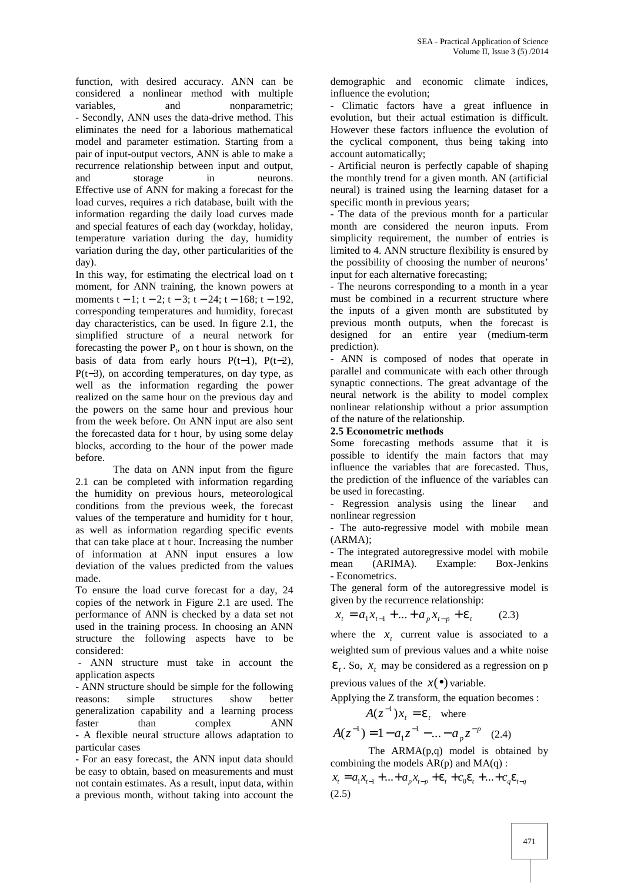function, with desired accuracy. ANN can be considered a nonlinear method with multiple variables, and nonparametric; - Secondly, ANN uses the data-drive method. This eliminates the need for a laborious mathematical model and parameter estimation. Starting from a pair of input-output vectors, ANN is able to make a recurrence relationship between input and output, and storage in neurons. Effective use of ANN for making a forecast for the load curves, requires a rich database, built with the information regarding the daily load curves made and special features of each day (workday, holiday, temperature variation during the day, humidity variation during the day, other particularities of the day).

In this way, for estimating the electrical load on t moment, for ANN training, the known powers at moments  $t - 1$ ;  $t - 2$ ;  $t - 3$ ;  $t - 24$ ;  $t - 168$ ;  $t - 192$ , corresponding temperatures and humidity, forecast day characteristics, can be used. In figure 2.1, the simplified structure of a neural network for forecasting the power  $P_t$ , on t hour is shown, on the basis of data from early hours  $P(t-1)$ ,  $P(t-2)$ ,  $P(t-3)$ , on according temperatures, on day type, as well as the information regarding the power realized on the same hour on the previous day and the powers on the same hour and previous hour from the week before. On ANN input are also sent the forecasted data for t hour, by using some delay blocks, according to the hour of the power made before.

The data on ANN input from the figure 2.1 can be completed with information regarding the humidity on previous hours, meteorological conditions from the previous week, the forecast values of the temperature and humidity for t hour, as well as information regarding specific events that can take place at t hour. Increasing the number of information at ANN input ensures a low - The deviation of the values predicted from the values mean deviation of the values predicted from the values made.

To ensure the load curve forecast for a day, 24 copies of the network in Figure 2.1 are used. The performance of ANN is checked by a data set not used in the training process. In choosing an ANN structure the following aspects have to be considered:

- ANN structure must take in account the application aspects

- ANN structure should be simple for the following reasons: simple structures show better generalization capability and a learning process faster than complex ANN - A flexible neural structure allows adaptation to particular cases

- For an easy forecast, the ANN input data should be easy to obtain, based on measurements and must not contain estimates. As a result, input data, within a previous month, without taking into account the

demographic and economic climate indices, influence the evolution;

- Climatic factors have a great influence in evolution, but their actual estimation is difficult. However these factors influence the evolution of the cyclical component, thus being taking into account automatically;

- Artificial neuron is perfectly capable of shaping the monthly trend for a given month. AN (artificial neural) is trained using the learning dataset for a specific month in previous years;

- The data of the previous month for a particular month are considered the neuron inputs. From simplicity requirement, the number of entries is limited to 4. ANN structure flexibility is ensured by the possibility of choosing the number of neurons' input for each alternative forecasting;

- The neurons corresponding to a month in a year must be combined in a recurrent structure where the inputs of a given month are substituted by previous month outputs, when the forecast is designed for an entire year (medium-term prediction).

- ANN is composed of nodes that operate in parallel and communicate with each other through synaptic connections. The great advantage of the neural network is the ability to model complex nonlinear relationship without a prior assumption of the nature of the relationship.

### **2.5 Econometric methods**

Some forecasting methods assume that it is possible to identify the main factors that may influence the variables that are forecasted. Thus, the prediction of the influence of the variables can be used in forecasting.

Regression analysis using the linear and nonlinear regression

- The auto-regressive model with mobile mean (ARMA);

- The integrated autoregressive model with mobile (ARIMA). Example: Box-Jenkins - Econometrics.

The general form of the autoregressive model is given by the recurrence relationship:

 $x_t = a_1 x_{t-1} + ... + a_p x_{t-p} + v_t$  (2.3) (2.3)

where the  $x_t$  current value is associated to a weighted sum of previous values and a white noise  $V_t$ . So,  $X_t$  may be considered as a regression on p previous values of the  $x(\bullet)$  variable.

Applying the Z transform, the equation becomes :

$$
A(z^{-1})x_t = V_t \quad \text{where}
$$

$$
A(z^{-1}) = 1 - a_1 z^{-1} - \dots - a_p z^{-p}
$$
 (2.4)

The ARMA(p,q) model is obtained by combining the models  $AR(p)$  and  $MA(q)$ :

$$
x_{t} = a_{1}x_{t-1} + ... + a_{p}x_{t-p} + v_{t} + c_{0}v_{t} + ... + c_{q}v_{t-q}
$$
  
(2.5)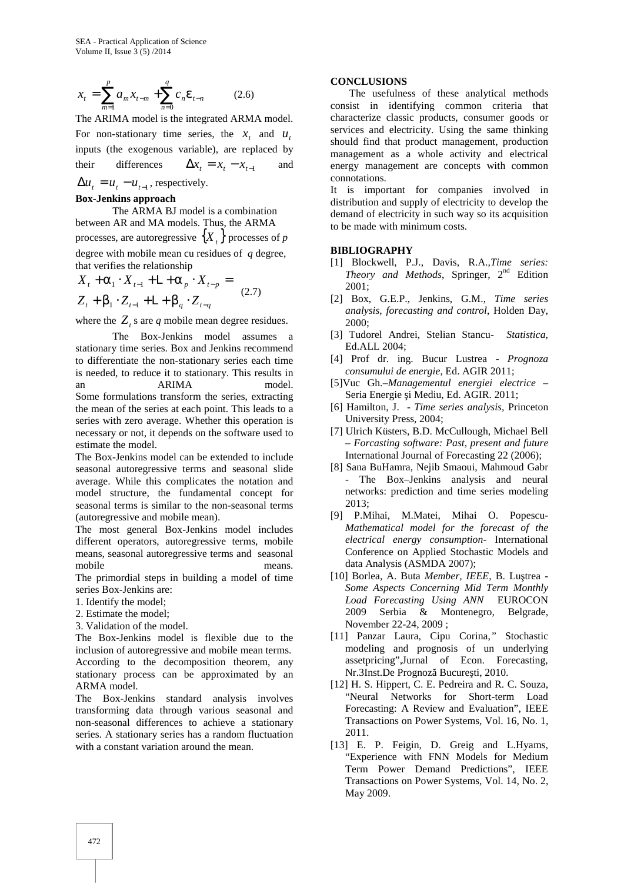$$
x_{t} = \sum_{m=1}^{p} a_{m} x_{t-m} + \sum_{n=0}^{q} c_{n} V_{t-n}
$$
 (2.6) **CONCLU**  
The  
consist

The ARIMA model is the integrated ARMA model. For non-stationary time series, the  $x_t$  and  $u_t$ inputs (the exogenous variable), are replaced by

 $\Delta u_t = u_t - u_{t-1}$ , respectively.

#### **Box-Jenkins approach**

The ARMA BJ model is a combination between AR and MA models. Thus, the ARMA processes, are autoregressive  $\{X_t\}$  processes of *p* degree with mobile mean cu residues of *q* degree, that verifies the relationship

$$
X_{t} + \Gamma_{1} \cdot X_{t-1} + \Gamma_{p} \cdot X_{t-p} = \begin{array}{c} \text{Theory} \text{or} \\ 2001; \\ Z_{t} + S_{1} \cdot Z_{t-1} + \Gamma_{p} \cdot Z_{t-q} \end{array} \tag{2.7}
$$

where the  $Z_t$  s are  $q$  mobile mean degree residues.

## The Box-Jenkins model assumes a stationary time series. Box and Jenkins recommend to differentiate the non-stationary series each time is needed, to reduce it to stationary. This results in an ARIMA model. Some formulations transform the series, extracting the mean of the series at each point. This leads to a series with zero average. Whether this operation is necessary or not, it depends on the software used to estimate the model.

The Box-Jenkins model can be extended to include seasonal autoregressive terms and seasonal slide average. While this complicates the notation and model structure, the fundamental concept for seasonal terms is similar to the non-seasonal terms (autoregressive and mobile mean).

The most general Box-Jenkins model includes different operators, autoregressive terms, mobile means, seasonal autoregressive terms and seasonal mobile means.

The primordial steps in building a model of time series Box-Jenkins are:

- 1. Identify the model;
- 2. Estimate the model;
- 3. Validation of the model.

The Box-Jenkins model is flexible due to the inclusion of autoregressive and mobile mean terms. According to the decomposition theorem, any stationary process can be approximated by an ARMA model.

The Box-Jenkins standard analysis involves transforming data through various seasonal and non-seasonal differences to achieve a stationary series. A stationary series has a random fluctuation with a constant variation around the mean.

#### **CONCLUSIONS**

 $\sum_{m=1}^{\infty} a_m x_{t-m} + \sum_{n=0}^{\infty} c_n V_{t-n}$  (2.6) The usefulness of these analytical methods consist in identifying common criteria that their differences  $\Delta x_t = x_t - x_{t-1}$  and energy management are concepts with common The usefulness of these analytical methods characterize classic products, consumer goods or services and electricity. Using the same thinking should find that product management, production management as a whole activity and electrical connotations.

> It is important for companies involved in distribution and supply of electricity to develop the demand of electricity in such way so its acquisition to be made with minimum costs.

#### **BIBLIOGRAPHY**

- $X_t + \Gamma_1 \cdot X_{t-1} + \Gamma_2 \cdot X_{t-p} =$  *Theory and Methods*, Springer, 2<sup>nd</sup> Edition [1] Blockwell, P.J., Davis, R.A.*,Time series:* 2001;
- $Z_t + S_1 \cdot Z_{t-1} + L + S_a \cdot Z_{t-a}$  (2.77) [2] Box, G.E.P., Jenkins, G.M., *Time series analysis, forecasting and control*, Holden Day, 2000;
	- [3] Tudorel Andrei, Stelian Stancu- *Statistica*, Ed.ALL 2004;
	- [4] Prof dr. ing. Bucur Lustrea *Prognoza consumului de energie*, Ed. AGIR 2011;
	- [5]Vuc Gh.–*Managementul energiei electrice* Seria Energie i Mediu, Ed. AGIR. 2011;
	- [6] Hamilton, J. *Time series analysis*, Princeton University Press, 2004;
	- [7] Ulrich Küsters, B.D. McCullough, Michael Bell – *Forcasting software: Past, present and future* International Journal of Forecasting 22 (2006);
	- [8] Sana BuHamra, Nejib Smaoui, Mahmoud Gabr - The Box–Jenkins analysis and neural networks: prediction and time series modeling 2013;
	- [9] P.Mihai, M.Matei, Mihai O. Popescu- *Mathematical model for the forecast of the electrical energy consumption-* International Conference on Applied Stochastic Models and data Analysis (ASMDA 2007);
	- [10] Borlea, A. Buta *Member, IEEE*, B. Lu trea -*Some Aspects Concerning Mid Term Monthly Load Forecasting Using ANN* EUROCON 2009 Serbia & Montenegro, Belgrade, November 22-24, 2009 ;
	- [11] Panzar Laura, Cipu Corina,*"* Stochastic modeling and prognosis of un underlying assetpricing",Jurnal of Econ. Forecasting, Nr.3Inst.De Prognoz Bucure ti, 2010.
	- [12] H. S. Hippert, C. E. Pedreira and R. C. Souza, "Neural Networks for Short-term Load Forecasting: A Review and Evaluation", IEEE Transactions on Power Systems, Vol. 16, No. 1, 2011.
	- [13] E. P. Feigin, D. Greig and L.Hyams, "Experience with FNN Models for Medium Term Power Demand Predictions", IEEE Transactions on Power Systems, Vol. 14, No. 2, May 2009.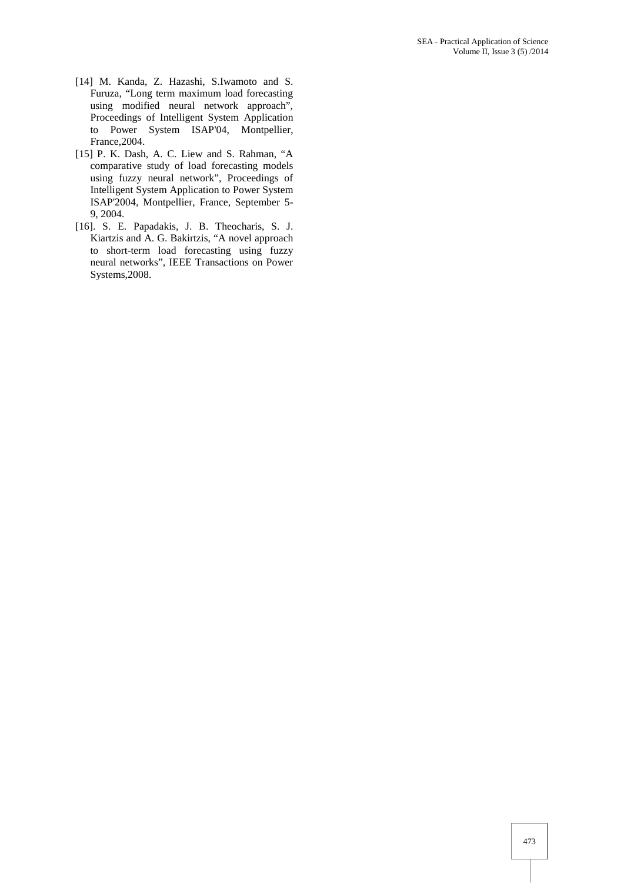- [14] M. Kanda, Z. Hazashi, S.Iwamoto and S. Furuza, "Long term maximum load forecasting using modified neural network approach", Proceedings of Intelligent System Application to Power System ISAP'04, Montpellier, France,2004.
- [15] P. K. Dash, A. C. Liew and S. Rahman, "A comparative study of load forecasting models using fuzzy neural network", Proceedings of Intelligent System Application to Power System ISAP'2004, Montpellier, France, September 5- 9, 2004.
- [16]. S. E. Papadakis, J. B. Theocharis, S. J. Kiartzis and A. G. Bakirtzis, "A novel approach to short-term load forecasting using fuzzy neural networks", IEEE Transactions on Power Systems,2008.